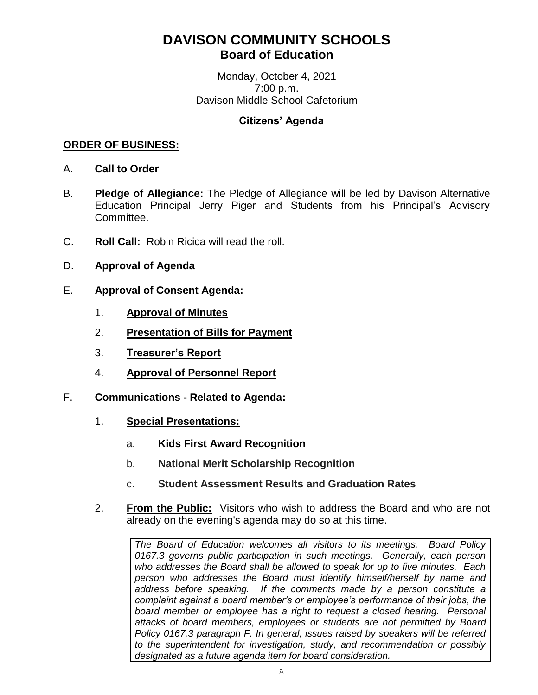## **DAVISON COMMUNITY SCHOOLS Board of Education**

Monday, October 4, 2021 7:00 p.m. Davison Middle School Cafetorium

## **Citizens' Agenda**

## **ORDER OF BUSINESS:**

- A. **Call to Order**
- B. **Pledge of Allegiance:** The Pledge of Allegiance will be led by Davison Alternative Education Principal Jerry Piger and Students from his Principal's Advisory Committee.
- C. **Roll Call:** Robin Ricica will read the roll.
- D. **Approval of Agenda**
- E. **Approval of Consent Agenda:**
	- 1. **Approval of Minutes**
	- 2. **Presentation of Bills for Payment**
	- 3. **Treasurer's Report**
	- 4. **Approval of Personnel Report**
- F. **Communications - Related to Agenda:**
	- 1. **Special Presentations:**
		- a. **Kids First Award Recognition**
		- b. **National Merit Scholarship Recognition**
		- c. **Student Assessment Results and Graduation Rates**
	- 2. **From the Public:** Visitors who wish to address the Board and who are not already on the evening's agenda may do so at this time.

*The Board of Education welcomes all visitors to its meetings. Board Policy 0167.3 governs public participation in such meetings. Generally, each person who addresses the Board shall be allowed to speak for up to five minutes. Each person who addresses the Board must identify himself/herself by name and address before speaking. If the comments made by a person constitute a complaint against a board member's or employee's performance of their jobs, the*  board member or employee has a right to request a closed hearing. Personal *attacks of board members, employees or students are not permitted by Board Policy 0167.3 paragraph F. In general, issues raised by speakers will be referred to the superintendent for investigation, study, and recommendation or possibly designated as a future agenda item for board consideration.*